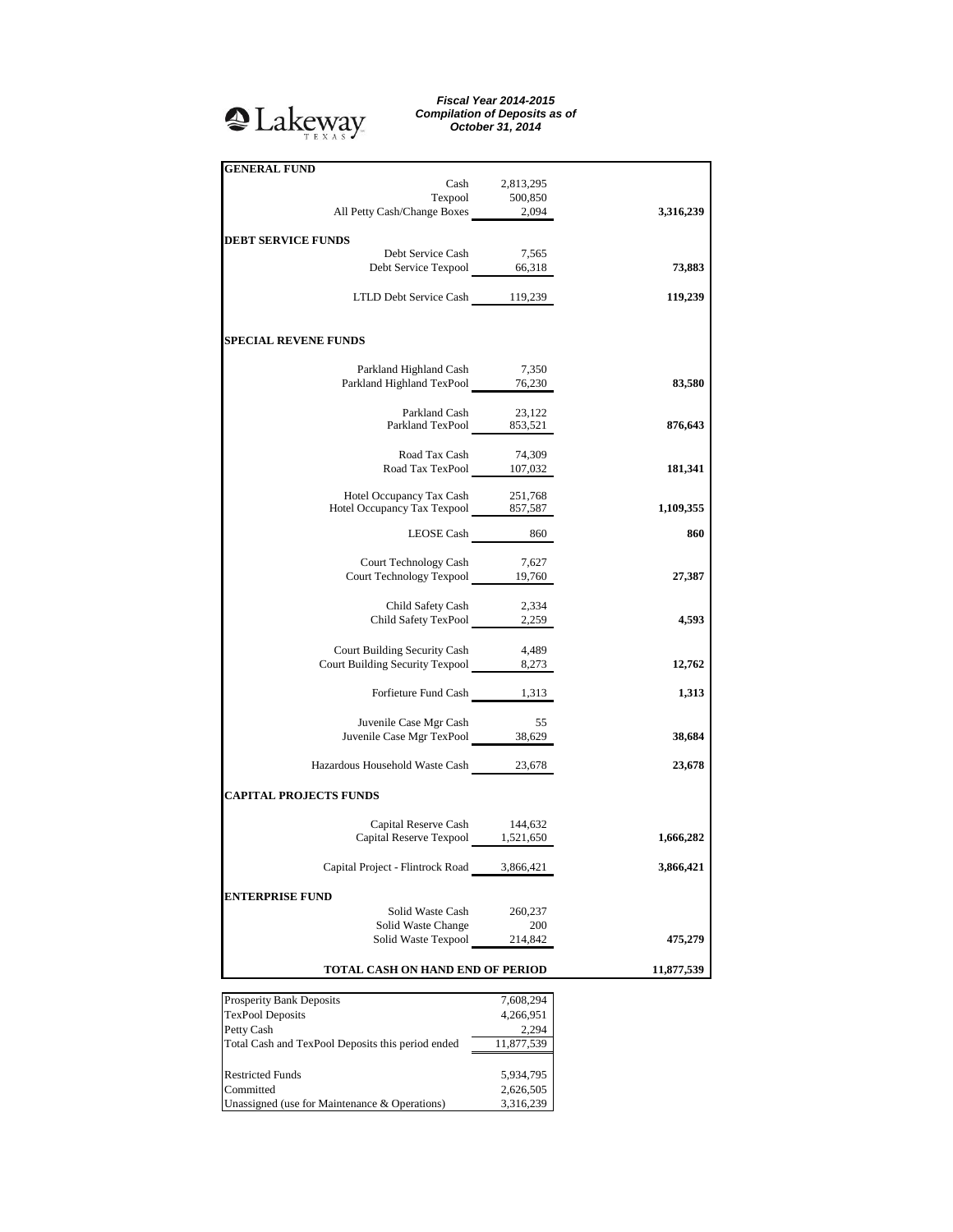

*Fiscal Year 2014-2015 Compilation of Deposits as of October 31, 2014*

| <b>GENERAL FUND</b>                                                     |                    |            |
|-------------------------------------------------------------------------|--------------------|------------|
|                                                                         | Cash 2,813,295     |            |
| Texpool 500,850<br>All Petty Cash/Change Boxes 2,094                    |                    |            |
|                                                                         |                    | 3,316,239  |
| <b>DEBT SERVICE FUNDS</b>                                               |                    |            |
|                                                                         |                    |            |
| Debt Service Cash 7,565<br>Debt Service Texpool 66,318                  |                    | 73,883     |
|                                                                         |                    |            |
| LTLD Debt Service Cash 119,239                                          |                    | 119,239    |
| <b>SPECIAL REVENE FUNDS</b>                                             |                    |            |
| Parkland Highland Cash 7,350                                            |                    |            |
| Parkland Highland TexPool 76,230                                        |                    | 83,580     |
|                                                                         |                    |            |
| Parkland Cash 23,122<br>Parkland TexPool 853,521                        |                    |            |
|                                                                         |                    | 876,643    |
| Road Tax Cash                                                           |                    |            |
| Road Tax TexPool 107,032                                                | 74,309             | 181,341    |
|                                                                         |                    |            |
| Hotel Occupancy Tax Cash 251,768<br>Hotel Occupancy Tax Texpool 857,587 |                    |            |
|                                                                         |                    | 1,109,355  |
| LEOSE Cash 860                                                          |                    | 860        |
|                                                                         |                    |            |
| Court Technology Cash 7,627<br>Court Technology Texpool 19,760          |                    | 27,387     |
|                                                                         |                    |            |
| Child Safety Cash                                                       | 2,334              |            |
| Child Safety TexPool 2,259                                              |                    | 4,593      |
|                                                                         |                    |            |
| Court Building Security Cash                                            | 4,489              |            |
| Court Building Security Texpool 8,273                                   |                    | 12,762     |
| Forfieture Fund Cash 1,313                                              |                    | 1,313      |
|                                                                         |                    |            |
| Juvenile Case Mgr Cash                                                  | 55                 |            |
| Juvenile Case Mgr TexPool 38,629                                        |                    | 38,684     |
| Hazardous Household Waste Cash 23,678                                   |                    | 23,678     |
| <b>CAPITAL PROJECTS FUNDS</b>                                           |                    |            |
|                                                                         |                    |            |
| Capital Reserve Cash 144,632<br>Capital Reserve Texpool 1,521,650       |                    |            |
|                                                                         |                    | 1,666,282  |
| Capital Project - Flintrock Road                                        | 3,866,421          | 3,866,421  |
| <b>ENTERPRISE FUND</b>                                                  |                    |            |
| Solid Waste Cash                                                        | 260,237            |            |
| Solid Waste Change                                                      | 200                |            |
| Solid Waste Texpool                                                     | 214,842            | 475,279    |
|                                                                         |                    |            |
| TOTAL CASH ON HAND END OF PERIOD                                        |                    | 11,877,539 |
|                                                                         |                    |            |
| <b>Prosperity Bank Deposits</b><br><b>TexPool Deposits</b>              | 7,608,294          |            |
| Petty Cash                                                              | 4,266,951<br>2,294 |            |
| Total Cash and TexPool Deposits this period ended                       | 11,877,539         |            |
|                                                                         |                    |            |
| <b>Restricted Funds</b>                                                 | 5,934,795          |            |
| Committed                                                               | 2,626,505          |            |
|                                                                         |                    |            |